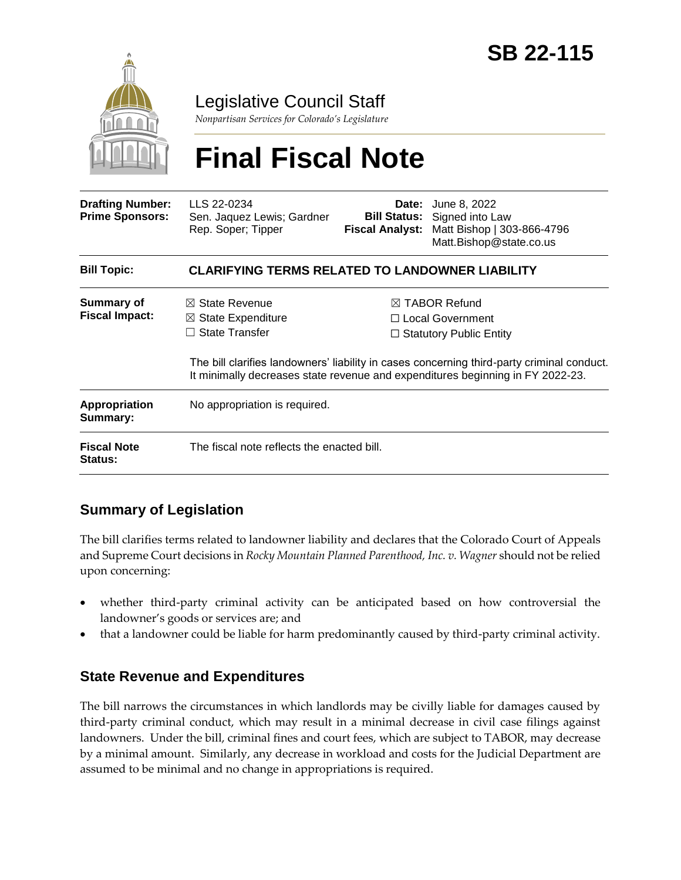

Legislative Council Staff

*Nonpartisan Services for Colorado's Legislature*

# **Final Fiscal Note**

| <b>Drafting Number:</b><br><b>Prime Sponsors:</b> | LLS 22-0234<br>Sen. Jaquez Lewis; Gardner<br>Rep. Soper; Tipper                                                                                                              | <b>Fiscal Analyst:</b> | <b>Date:</b> June 8, 2022<br><b>Bill Status:</b> Signed into Law<br>Matt Bishop   303-866-4796<br>Matt.Bishop@state.co.us |  |
|---------------------------------------------------|------------------------------------------------------------------------------------------------------------------------------------------------------------------------------|------------------------|---------------------------------------------------------------------------------------------------------------------------|--|
| <b>Bill Topic:</b>                                | <b>CLARIFYING TERMS RELATED TO LANDOWNER LIABILITY</b>                                                                                                                       |                        |                                                                                                                           |  |
| Summary of<br><b>Fiscal Impact:</b>               | $\boxtimes$ State Revenue                                                                                                                                                    |                        | $\boxtimes$ TABOR Refund                                                                                                  |  |
|                                                   | $\boxtimes$ State Expenditure                                                                                                                                                | □ Local Government     |                                                                                                                           |  |
|                                                   | State Transfer                                                                                                                                                               |                        | $\Box$ Statutory Public Entity                                                                                            |  |
|                                                   | The bill clarifies landowners' liability in cases concerning third-party criminal conduct.<br>It minimally decreases state revenue and expenditures beginning in FY 2022-23. |                        |                                                                                                                           |  |
| <b>Appropriation</b><br>Summary:                  | No appropriation is required.                                                                                                                                                |                        |                                                                                                                           |  |
| <b>Fiscal Note</b><br><b>Status:</b>              | The fiscal note reflects the enacted bill.                                                                                                                                   |                        |                                                                                                                           |  |

### **Summary of Legislation**

The bill clarifies terms related to landowner liability and declares that the Colorado Court of Appeals and Supreme Court decisions in *Rocky Mountain Planned Parenthood, Inc. v. Wagner* should not be relied upon concerning:

- whether third-party criminal activity can be anticipated based on how controversial the landowner's goods or services are; and
- that a landowner could be liable for harm predominantly caused by third-party criminal activity.

### **State Revenue and Expenditures**

The bill narrows the circumstances in which landlords may be civilly liable for damages caused by third-party criminal conduct, which may result in a minimal decrease in civil case filings against landowners. Under the bill, criminal fines and court fees, which are subject to TABOR, may decrease by a minimal amount. Similarly, any decrease in workload and costs for the Judicial Department are assumed to be minimal and no change in appropriations is required.